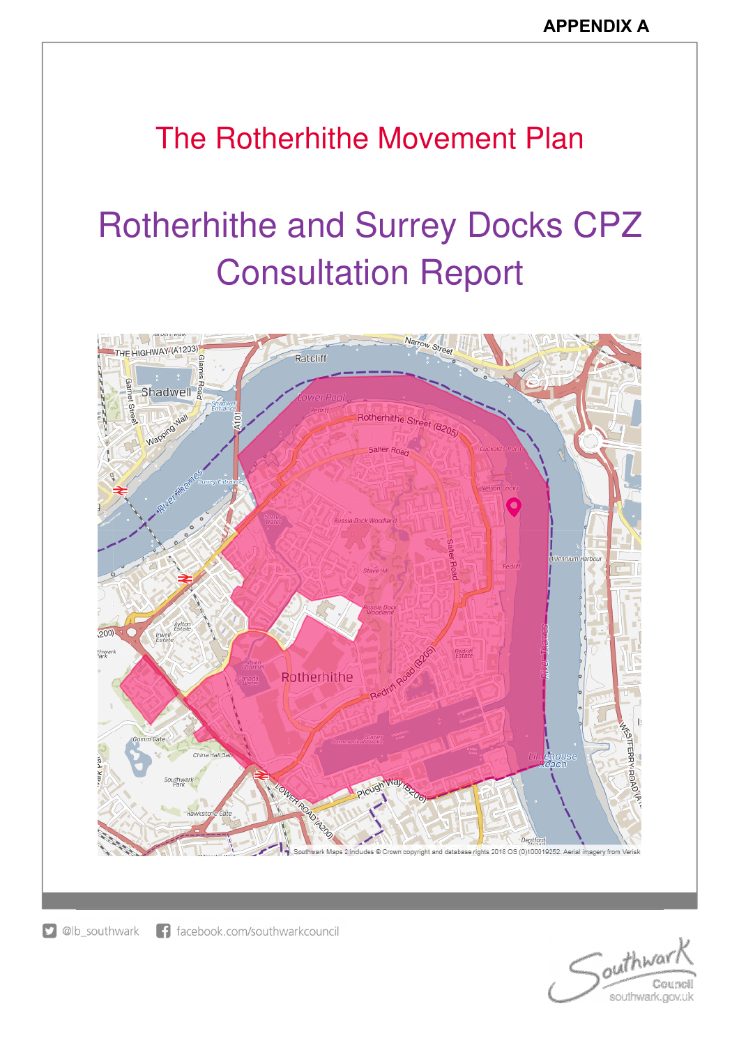# The Rotherhithe Movement Plan

# Rotherhithe and Surrey Docks CPZ Consultation Report



D @lb\_southwark f facebook.com/southwarkcouncil

outhwar Council southwark.gov.uk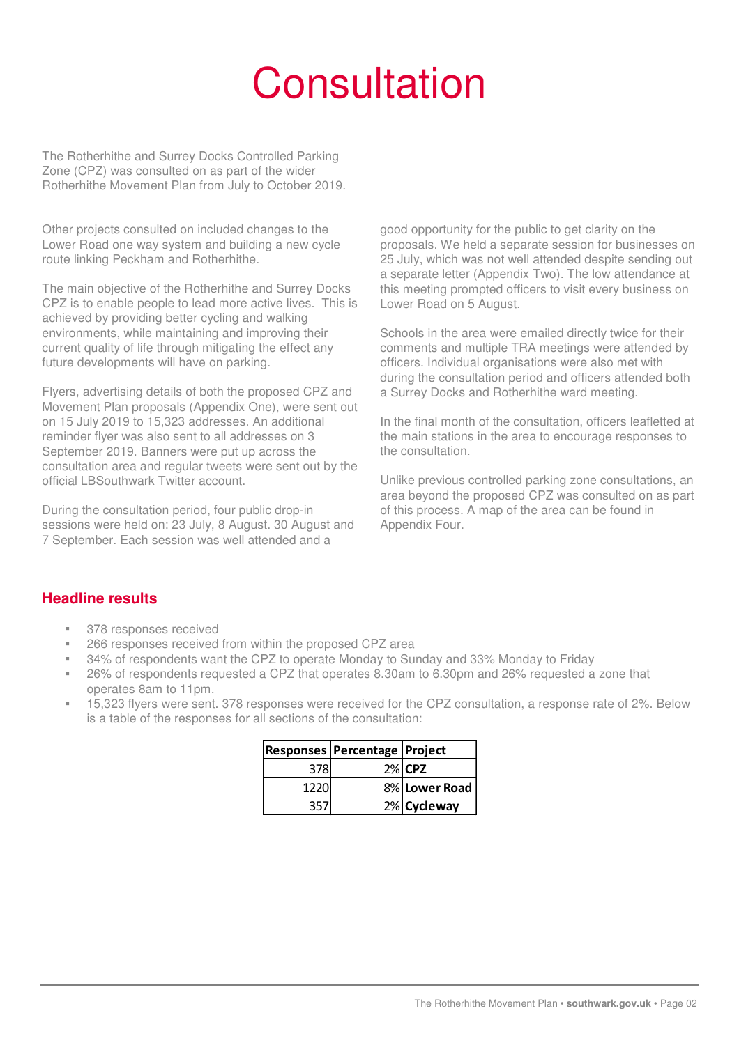# **Consultation**

The Rotherhithe and Surrey Docks Controlled Parking Zone (CPZ) was consulted on as part of the wider Rotherhithe Movement Plan from July to October 2019.

Other projects consulted on included changes to the Lower Road one way system and building a new cycle route linking Peckham and Rotherhithe.

The main objective of the Rotherhithe and Surrey Docks CPZ is to enable people to lead more active lives. This is achieved by providing better cycling and walking environments, while maintaining and improving their current quality of life through mitigating the effect any future developments will have on parking.

Flyers, advertising details of both the proposed CPZ and Movement Plan proposals (Appendix One), were sent out on 15 July 2019 to 15,323 addresses. An additional reminder flyer was also sent to all addresses on 3 September 2019. Banners were put up across the consultation area and regular tweets were sent out by the official LBSouthwark Twitter account.

During the consultation period, four public drop-in sessions were held on: 23 July, 8 August. 30 August and 7 September. Each session was well attended and a

good opportunity for the public to get clarity on the proposals. We held a separate session for businesses on 25 July, which was not well attended despite sending out a separate letter (Appendix Two). The low attendance at this meeting prompted officers to visit every business on Lower Road on 5 August.

Schools in the area were emailed directly twice for their comments and multiple TRA meetings were attended by officers. Individual organisations were also met with during the consultation period and officers attended both a Surrey Docks and Rotherhithe ward meeting.

In the final month of the consultation, officers leafletted at the main stations in the area to encourage responses to the consultation.

Unlike previous controlled parking zone consultations, an area beyond the proposed CPZ was consulted on as part of this process. A map of the area can be found in Appendix Four.

# **Headline results**

- 378 responses received
- 266 responses received from within the proposed CPZ area
- 34% of respondents want the CPZ to operate Monday to Sunday and 33% Monday to Friday
- 26% of respondents requested a CPZ that operates 8.30am to 6.30pm and 26% requested a zone that operates 8am to 11pm.
- 15,323 flyers were sent. 378 responses were received for the CPZ consultation, a response rate of 2%. Below is a table of the responses for all sections of the consultation:

|       | Responses   Percentage   Project |               |
|-------|----------------------------------|---------------|
| 3781  |                                  | $2\%$ CPZ     |
| 1220l |                                  | 8% Lower Road |
| 357   |                                  | 2% Cycleway   |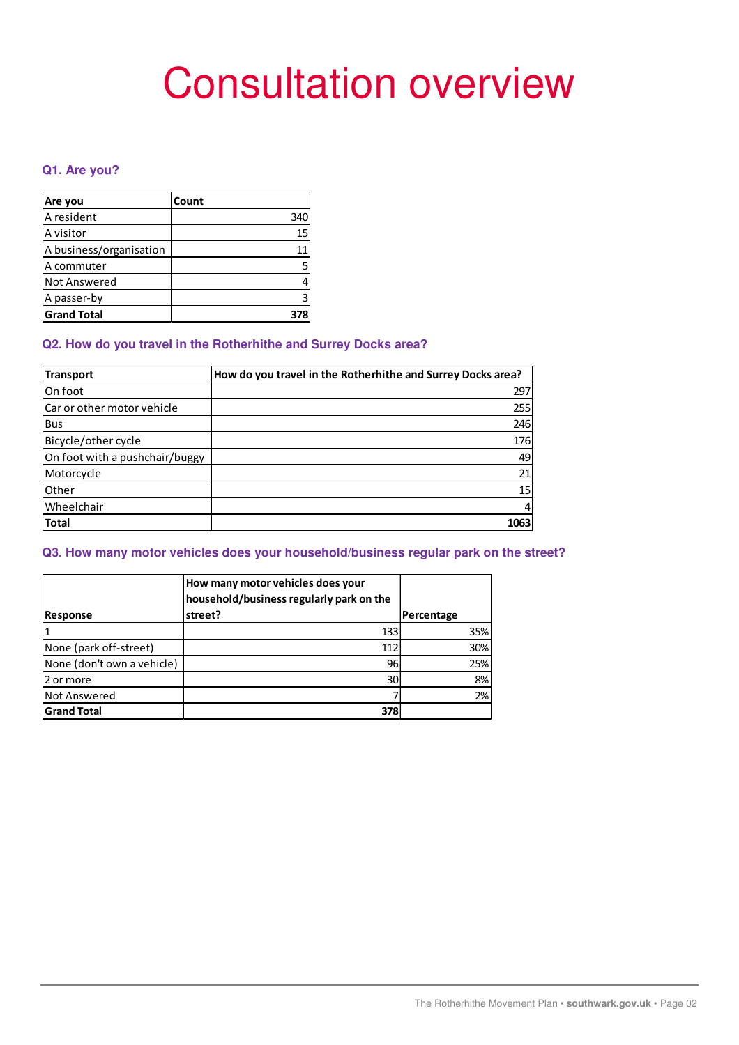# Consultation overview

# **Q1. Are you?**

| Are you                 | Count |
|-------------------------|-------|
| A resident              | 340   |
| A visitor               | 15    |
| A business/organisation | 11    |
| A commuter              |       |
| Not Answered            |       |
| A passer-by             |       |
| <b>Grand Total</b>      |       |

# **Q2. How do you travel in the Rotherhithe and Surrey Docks area?**

| <b>Transport</b>               | How do you travel in the Rotherhithe and Surrey Docks area? |
|--------------------------------|-------------------------------------------------------------|
| On foot                        | 297                                                         |
| Car or other motor vehicle     | 255                                                         |
| <b>Bus</b>                     | 246                                                         |
| Bicycle/other cycle            | 176                                                         |
| On foot with a pushchair/buggy | 49                                                          |
| Motorcycle                     | 21                                                          |
| Other                          | 15                                                          |
| Wheelchair                     | 4                                                           |
| <b>Total</b>                   | 1063                                                        |

# **Q3. How many motor vehicles does your household/business regular park on the street?**

|                            | How many motor vehicles does your<br>household/business regularly park on the |            |     |
|----------------------------|-------------------------------------------------------------------------------|------------|-----|
| <b>Response</b>            | street?                                                                       | Percentage |     |
|                            | 133                                                                           |            | 35% |
| None (park off-street)     | 112                                                                           |            | 30% |
| None (don't own a vehicle) | 96                                                                            |            | 25% |
| 2 or more                  | 30 <sup>1</sup>                                                               |            | 8%  |
| Not Answered               |                                                                               |            | 2%  |
| <b>Grand Total</b>         | 378                                                                           |            |     |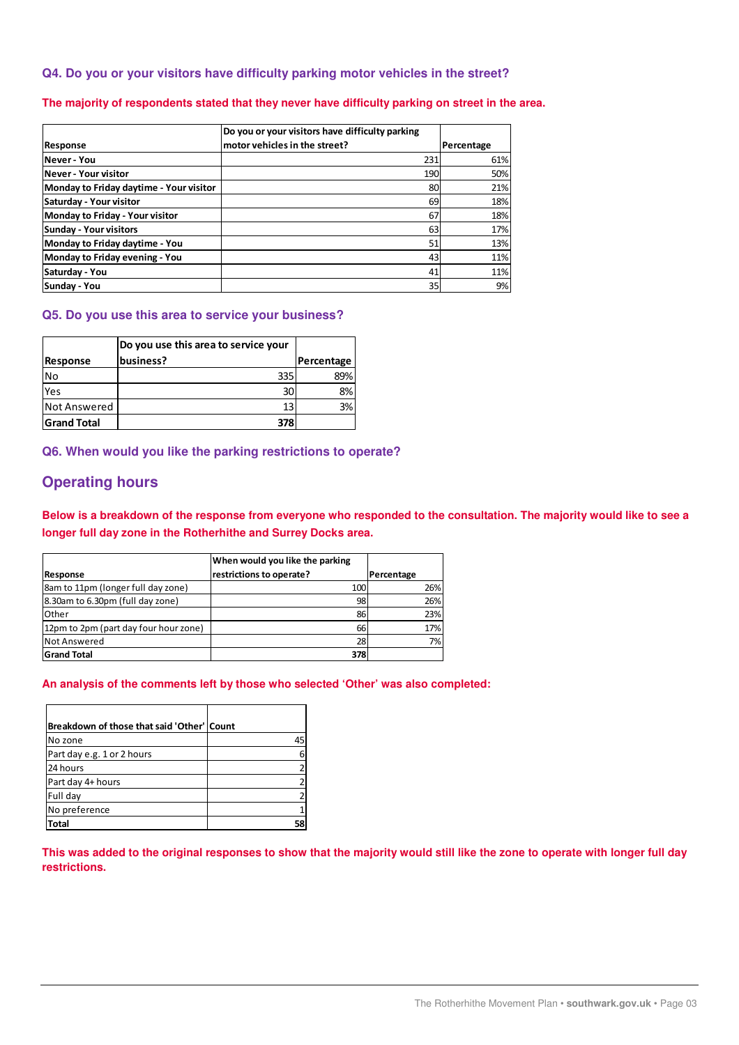# **Q4. Do you or your visitors have difficulty parking motor vehicles in the street?**

# **The majority of respondents stated that they never have difficulty parking on street in the area.**

|                                         | Do you or your visitors have difficulty parking |            |
|-----------------------------------------|-------------------------------------------------|------------|
| <b>Response</b>                         | motor vehicles in the street?                   | Percentage |
| lNever - You                            | 231                                             | 61%        |
| lNever - Your visitor                   | 190                                             | 50%        |
| Monday to Friday daytime - Your visitor | 80                                              | 21%        |
| Saturday - Your visitor                 | 69                                              | 18%        |
| Monday to Friday - Your visitor         | 67                                              | 18%        |
| Sunday - Your visitors                  | 63                                              | 17%        |
| Monday to Friday daytime - You          | 51                                              | 13%        |
| Monday to Friday evening - You          | 43                                              | 11%        |
| Saturday - You                          | 41                                              | 11%        |
| Sunday - You                            | 35                                              | 9%         |

#### **Q5. Do you use this area to service your business?**

|                    | Do you use this area to service your |            |
|--------------------|--------------------------------------|------------|
| Response           | business?                            | Percentage |
| No                 | 335                                  | 89%        |
| Yes                | 30                                   | 8%         |
| Not Answered       | 13                                   | 3%         |
| <b>Grand Total</b> | 378                                  |            |

**Q6. When would you like the parking restrictions to operate?** 

# **Operating hours**

**Below is a breakdown of the response from everyone who responded to the consultation. The majority would like to see a longer full day zone in the Rotherhithe and Surrey Docks area.** 

|                                       | When would you like the parking |            |
|---------------------------------------|---------------------------------|------------|
| Response                              | restrictions to operate?        | Percentage |
| 8am to 11pm (longer full day zone)    | 100                             | 26%        |
| 8.30am to 6.30pm (full day zone)      | 98                              | 26%        |
| Other                                 | 86                              | 23%        |
| 12pm to 2pm (part day four hour zone) | 66                              | 17%        |
| Not Answered                          | 28                              | 7%         |
| <b>Grand Total</b>                    | 378                             |            |

#### **An analysis of the comments left by those who selected 'Other' was also completed:**

| Breakdown of those that said 'Other'   Count |    |
|----------------------------------------------|----|
| No zone                                      | 45 |
| Part day e.g. 1 or 2 hours                   |    |
| 24 hours                                     |    |
| Part day 4+ hours                            |    |
| Full day                                     |    |
| No preference                                |    |
| Total                                        |    |

**This was added to the original responses to show that the majority would still like the zone to operate with longer full day restrictions.**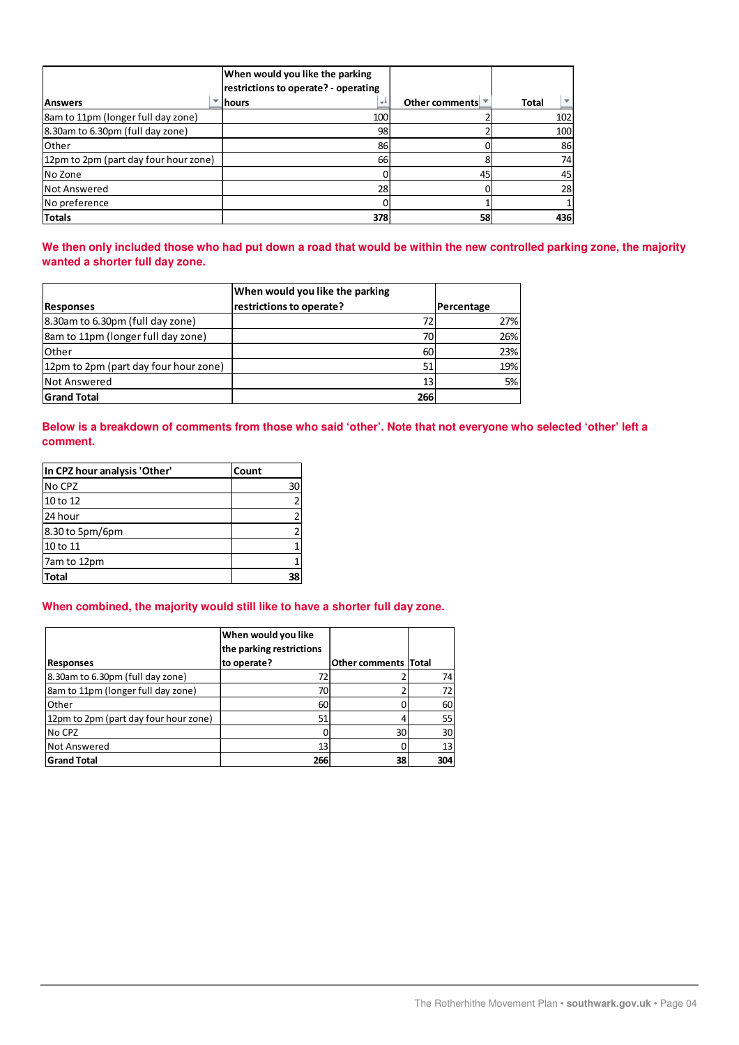|                                        | When would you like the parking<br>restrictions to operate? - operating |                                         |                                          |
|----------------------------------------|-------------------------------------------------------------------------|-----------------------------------------|------------------------------------------|
| <b>IAnswers</b>                        | lhours<br>÷÷                                                            | Other comments $\overline{\phantom{a}}$ | $\overline{\phantom{a}}$<br><b>Total</b> |
| 8am to 11pm (longer full day zone)     | 100                                                                     |                                         | 102                                      |
| 8.30am to 6.30pm (full day zone)       | 98                                                                      |                                         | 100                                      |
| Other                                  | 86                                                                      |                                         | 86                                       |
| (12pm to 2pm (part day four hour zone) | 66                                                                      |                                         | 74                                       |
| No Zone                                |                                                                         | 45                                      | 45                                       |
| Not Answered                           | 28                                                                      |                                         | 28                                       |
| No preference                          |                                                                         |                                         |                                          |
| <b>Totals</b>                          | 378                                                                     | 58                                      | 436                                      |

**We then only included those who had put down a road that would be within the new controlled parking zone, the majority wanted a shorter full day zone.** 

|                                       | When would you like the parking |            |
|---------------------------------------|---------------------------------|------------|
| Responses                             | restrictions to operate?        | Percentage |
| 8.30am to 6.30pm (full day zone)      | 72                              | 27%        |
| 8am to 11pm (longer full day zone)    | 70                              | 26%        |
| <b>Other</b>                          | 60                              | 23%        |
| 12pm to 2pm (part day four hour zone) | 51                              | 19%        |
| <b>I</b> Not Answered                 | 13 <sub>1</sub>                 | 5%         |
| <b>Grand Total</b>                    | 266                             |            |

**Below is a breakdown of comments from those who said 'other'. Note that not everyone who selected 'other' left a comment.** 

| In CPZ hour analysis 'Other' | Count |
|------------------------------|-------|
| No CPZ                       | 30    |
| 10 to 12                     |       |
| 24 hour                      |       |
| 8.30 to 5pm/6pm              |       |
| 10 to 11                     |       |
| 7am to 12pm                  |       |
| <b>Total</b>                 | 38    |

# **When combined, the majority would still like to have a shorter full day zone.**

|                                       | When would you like<br>the parking restrictions |                             |     |
|---------------------------------------|-------------------------------------------------|-----------------------------|-----|
| <b>Responses</b>                      | to operate?                                     | <b>Other comments Total</b> |     |
| 8.30am to 6.30pm (full day zone)      |                                                 |                             | 74  |
| 8am to 11pm (longer full day zone)    | 70                                              |                             | 72  |
| Other                                 | 60                                              |                             | 60  |
| 12pm to 2pm (part day four hour zone) | 51                                              |                             | 55  |
| No CPZ                                |                                                 | 30                          | 30  |
| <b>Not Answered</b>                   | 13                                              |                             | 13  |
| <b>Grand Total</b>                    | 266                                             | 38                          | 304 |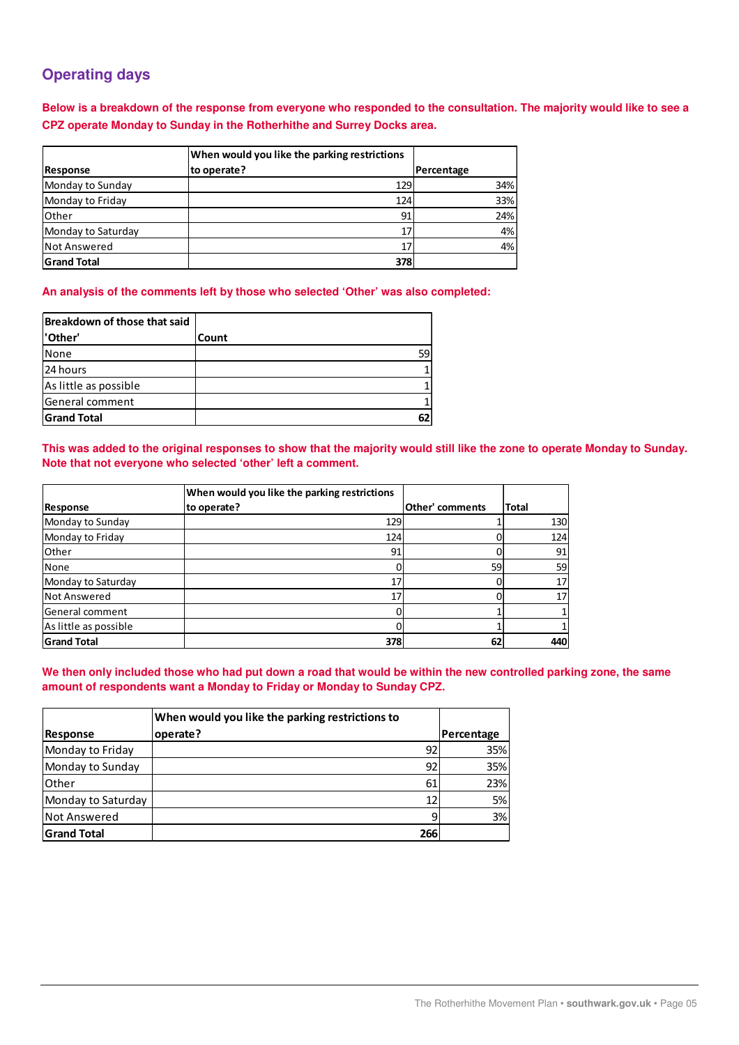# **Operating days**

**Below is a breakdown of the response from everyone who responded to the consultation. The majority would like to see a CPZ operate Monday to Sunday in the Rotherhithe and Surrey Docks area.** 

|                    |             | When would you like the parking restrictions |            |
|--------------------|-------------|----------------------------------------------|------------|
| <b>Response</b>    | to operate? |                                              | Percentage |
| Monday to Sunday   |             | 129                                          | 34%        |
| Monday to Friday   |             | 124                                          | 33%        |
| lOther             |             | 91                                           | 24%        |
| Monday to Saturday |             |                                              | 4%         |
| Not Answered       |             | 17                                           | 4%         |
| <b>Grand Total</b> |             | 378                                          |            |

**An analysis of the comments left by those who selected 'Other' was also completed:** 

| Breakdown of those that said |       |
|------------------------------|-------|
| 'Other'                      | Count |
| None                         | 59    |
| 24 hours                     |       |
| As little as possible        |       |
| General comment              |       |
| <b>Grand Total</b>           |       |

**This was added to the original responses to show that the majority would still like the zone to operate Monday to Sunday. Note that not everyone who selected 'other' left a comment.** 

|                       | When would you like the parking restrictions |                        |       |
|-----------------------|----------------------------------------------|------------------------|-------|
| Response              | to operate?                                  | <b>Other' comments</b> | Total |
| Monday to Sunday      | 129                                          |                        | 130   |
| Monday to Friday      | 124                                          |                        | 124   |
| <b>Other</b>          | 91                                           |                        | 91    |
| <b>None</b>           |                                              | 59                     | 59    |
| Monday to Saturday    | 17                                           |                        | 17    |
| <b>Not Answered</b>   | 17                                           |                        | 17    |
| General comment       |                                              |                        |       |
| As little as possible |                                              |                        |       |
| <b>Grand Total</b>    | 378                                          | 62                     | 440   |

**We then only included those who had put down a road that would be within the new controlled parking zone, the same amount of respondents want a Monday to Friday or Monday to Sunday CPZ.** 

|                     | When would you like the parking restrictions to |                   |
|---------------------|-------------------------------------------------|-------------------|
| Response            | operate?                                        | <b>Percentage</b> |
| Monday to Friday    | 92 <sub>1</sub>                                 | 35%               |
| Monday to Sunday    | 92                                              | 35%               |
| <b>l</b> Other      | 61                                              | 23%               |
| Monday to Saturday  | 12                                              | 5%                |
| <b>Not Answered</b> | q                                               | 3%                |
| <b>Grand Total</b>  | 266                                             |                   |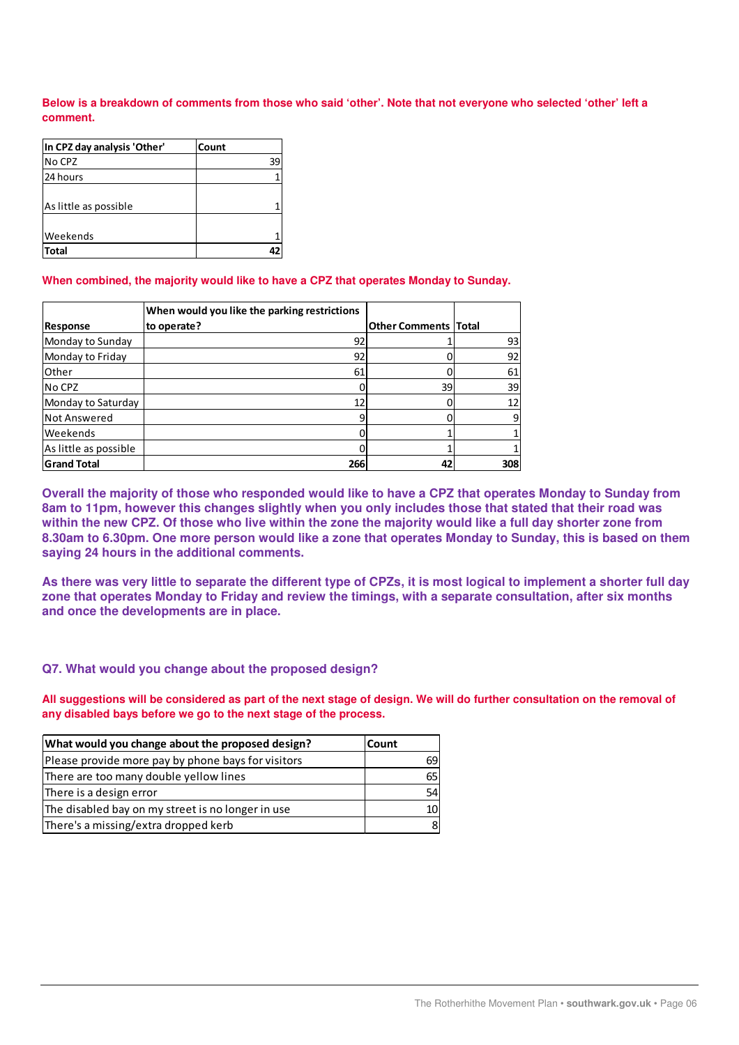**Below is a breakdown of comments from those who said 'other'. Note that not everyone who selected 'other' left a comment.** 

| In CPZ day analysis 'Other' | Count |
|-----------------------------|-------|
| No CPZ                      | 39    |
| 24 hours                    |       |
|                             |       |
| As little as possible       |       |
|                             |       |
| <b>Weekends</b>             |       |
| <b>Total</b>                |       |

#### **When combined, the majority would like to have a CPZ that operates Monday to Sunday.**

|                       | When would you like the parking restrictions |                             |     |
|-----------------------|----------------------------------------------|-----------------------------|-----|
| Response              | to operate?                                  | <b>Other Comments Total</b> |     |
| Monday to Sunday      | 92                                           |                             | 93  |
| Monday to Friday      | 92                                           |                             | 92  |
| Other                 | 61                                           |                             | 61  |
| INo CPZ               |                                              | 39                          | 39  |
| Monday to Saturday    | 12                                           |                             | 12  |
| Not Answered          |                                              |                             |     |
| <b>IWeekends</b>      |                                              |                             |     |
| As little as possible |                                              |                             |     |
| <b>Grand Total</b>    | 266                                          | 42                          | 308 |

**Overall the majority of those who responded would like to have a CPZ that operates Monday to Sunday from 8am to 11pm, however this changes slightly when you only includes those that stated that their road was within the new CPZ. Of those who live within the zone the majority would like a full day shorter zone from 8.30am to 6.30pm. One more person would like a zone that operates Monday to Sunday, this is based on them saying 24 hours in the additional comments.** 

**As there was very little to separate the different type of CPZs, it is most logical to implement a shorter full day zone that operates Monday to Friday and review the timings, with a separate consultation, after six months and once the developments are in place.** 

#### **Q7. What would you change about the proposed design?**

**All suggestions will be considered as part of the next stage of design. We will do further consultation on the removal of any disabled bays before we go to the next stage of the process.** 

| What would you change about the proposed design?   | <b>Count</b> |
|----------------------------------------------------|--------------|
| Please provide more pay by phone bays for visitors | 69           |
| There are too many double yellow lines             | 65           |
| There is a design error                            | 54           |
| The disabled bay on my street is no longer in use  | 10           |
| There's a missing/extra dropped kerb               | 8            |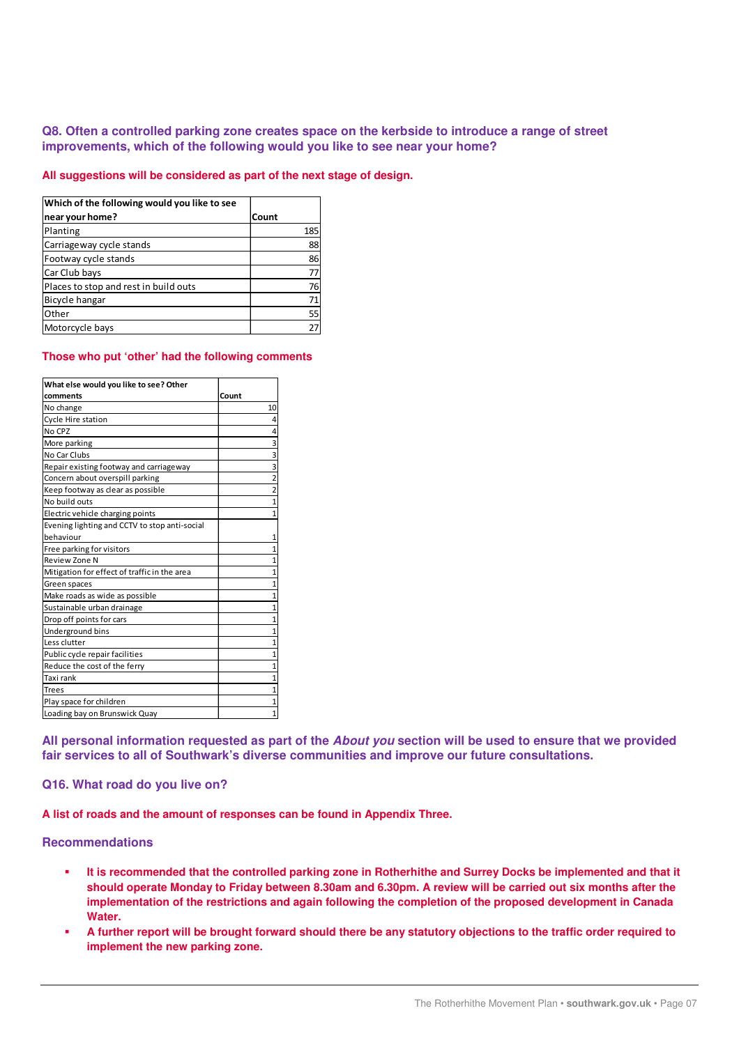# **Q8. Often a controlled parking zone creates space on the kerbside to introduce a range of street improvements, which of the following would you like to see near your home?**

**All suggestions will be considered as part of the next stage of design.**

| Which of the following would you like to see |       |
|----------------------------------------------|-------|
| near your home?                              | Count |
| Planting                                     | 185   |
| Carriageway cycle stands                     | 88    |
| Footway cycle stands                         | 86    |
| Car Club bays                                | 77    |
| Places to stop and rest in build outs        | 76    |
| Bicycle hangar                               | 71    |
| Other                                        | 55    |
| Motorcycle bays                              | 27    |

#### **Those who put 'other' had the following comments**

| What else would you like to see? Other        |                |
|-----------------------------------------------|----------------|
| comments                                      | Count          |
| No change                                     | 10             |
| Cycle Hire station                            | 4              |
| No CPZ                                        | 4              |
| More parking                                  | 3              |
| No Car Clubs                                  | 3              |
| Repair existing footway and carriageway       | 3              |
| Concern about overspill parking               | $\overline{2}$ |
| Keep footway as clear as possible             | $\overline{2}$ |
| No build outs                                 | 1              |
| Electric vehicle charging points              | 1              |
| Evening lighting and CCTV to stop anti-social |                |
| behaviour                                     | 1              |
| Free parking for visitors                     | 1              |
| Review Zone N                                 | 1              |
| Mitigation for effect of traffic in the area  | 1              |
| Green spaces                                  | $\mathbf{1}$   |
| Make roads as wide as possible                | $\overline{1}$ |
| Sustainable urban drainage                    | 1              |
| Drop off points for cars                      | $\overline{1}$ |
| Underground bins                              | $\overline{1}$ |
| Less clutter                                  | $\overline{1}$ |
| Public cycle repair facilities                | 1              |
| Reduce the cost of the ferry                  | 1              |
| Taxi rank                                     | 1              |
| <b>Trees</b>                                  | 1              |
| Play space for children                       | 1              |
| Loading bay on Brunswick Quay                 | 1              |

**All personal information requested as part of the About you section will be used to ensure that we provided fair services to all of Southwark's diverse communities and improve our future consultations.** 

# **Q16. What road do you live on?**

**A list of roads and the amount of responses can be found in Appendix Three.** 

# **Recommendations**

- **It is recommended that the controlled parking zone in Rotherhithe and Surrey Docks be implemented and that it should operate Monday to Friday between 8.30am and 6.30pm. A review will be carried out six months after the implementation of the restrictions and again following the completion of the proposed development in Canada Water.**
- **A further report will be brought forward should there be any statutory objections to the traffic order required to implement the new parking zone.**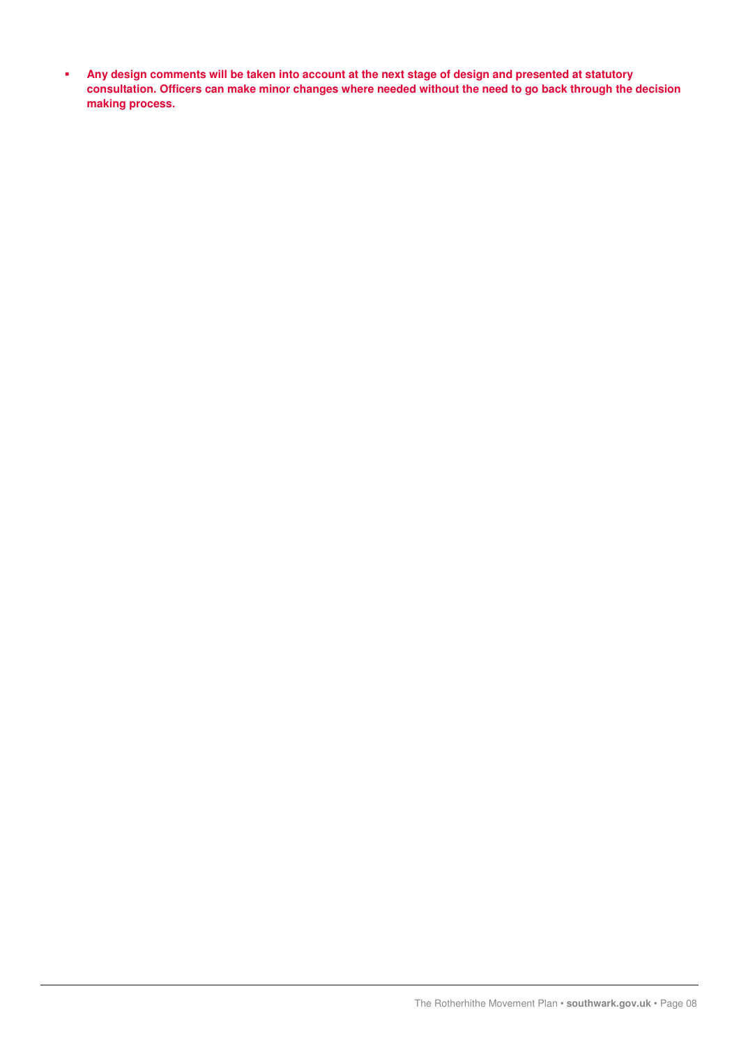**Any design comments will be taken into account at the next stage of design and presented at statutory consultation. Officers can make minor changes where needed without the need to go back through the decision making process.**